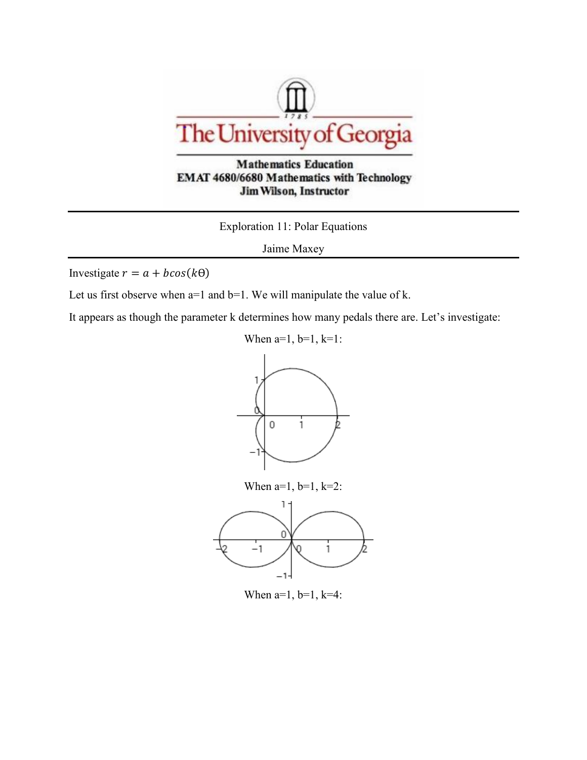

**Mathematics Education** EMAT 4680/6680 Mathematics with Technology **Jim Wilson, Instructor** 

Exploration 11: Polar Equations

Jaime Maxey

Investigate  $r = a + b\cos(k\theta)$ 

Let us first observe when  $a=1$  and  $b=1$ . We will manipulate the value of k.

It appears as though the parameter k determines how many pedals there are. Let's investigate:





When  $a=1$ ,  $b=1$ ,  $k=4$ :

 $-1-$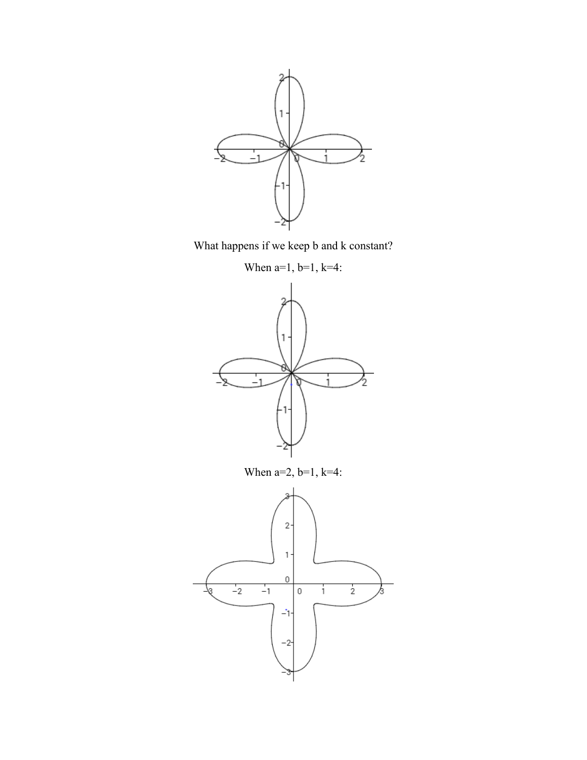

What happens if we keep b and k constant?

When  $a=1$ ,  $b=1$ ,  $k=4$ :

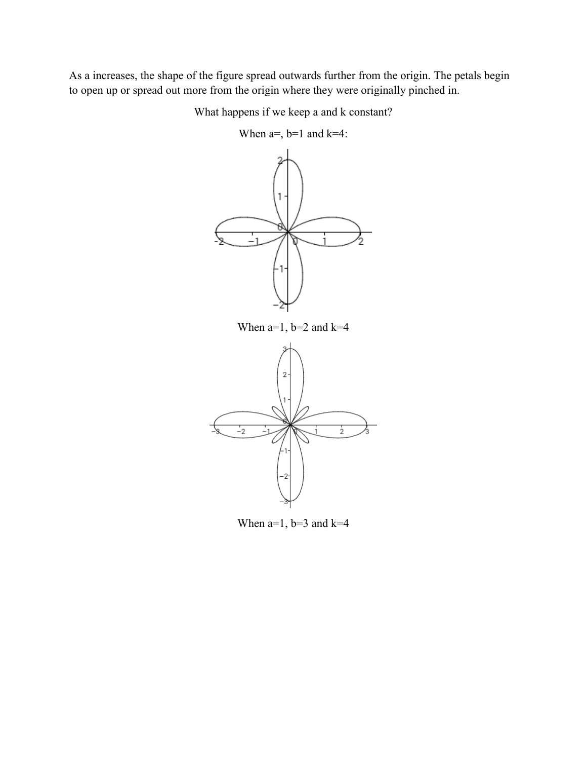As a increases, the shape of the figure spread outwards further from the origin. The petals begin to open up or spread out more from the origin where they were originally pinched in.

What happens if we keep a and k constant?



When  $a=$ ,  $b=1$  and  $k=4$ :

When  $a=1$ ,  $b=3$  and  $k=4$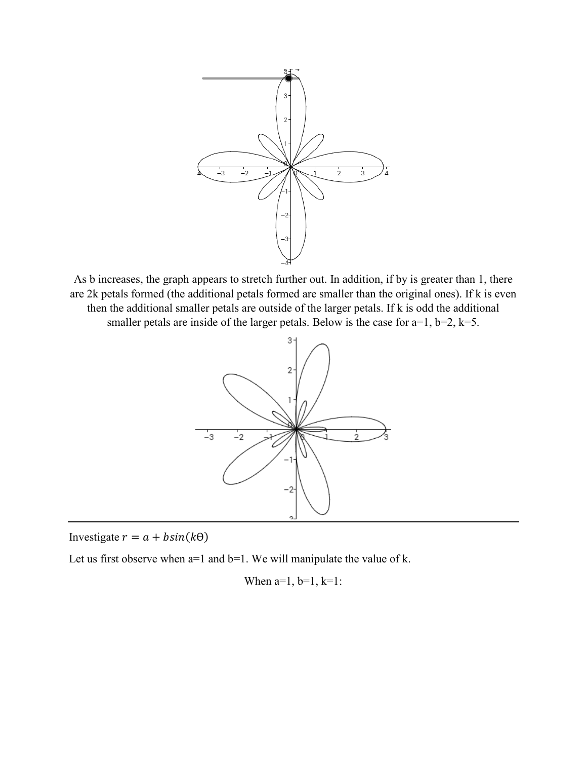

As b increases, the graph appears to stretch further out. In addition, if by is greater than 1, there are 2k petals formed (the additional petals formed are smaller than the original ones). If k is even then the additional smaller petals are outside of the larger petals. If k is odd the additional smaller petals are inside of the larger petals. Below is the case for  $a=1$ ,  $b=2$ ,  $k=5$ .



Investigate  $r = a + b\sin(k\theta)$ 

Let us first observe when  $a=1$  and  $b=1$ . We will manipulate the value of k.

When 
$$
a=1
$$
,  $b=1$ ,  $k=1$ :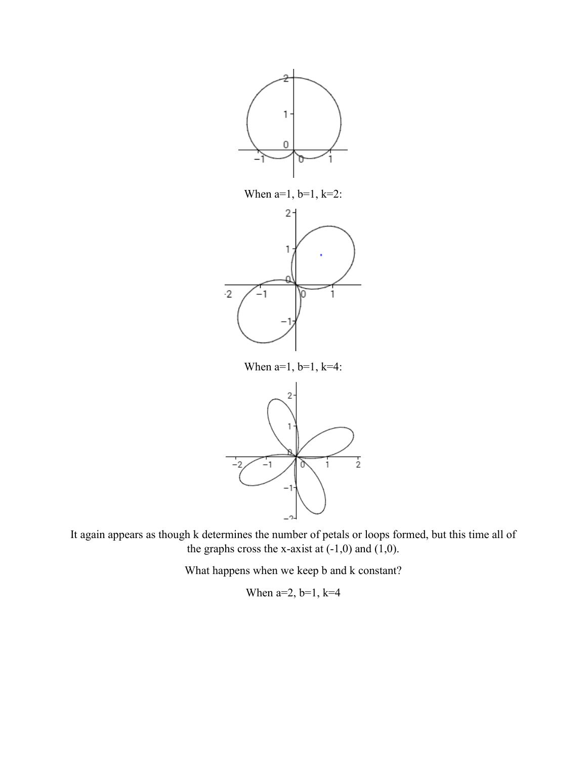

When  $a=1$ ,  $b=1$ ,  $k=2$ :



When  $a=1$ ,  $b=1$ ,  $k=4$ :



It again appears as though k determines the number of petals or loops formed, but this time all of the graphs cross the x-axist at  $(-1,0)$  and  $(1,0)$ .

What happens when we keep b and k constant?

When  $a=2$ ,  $b=1$ ,  $k=4$